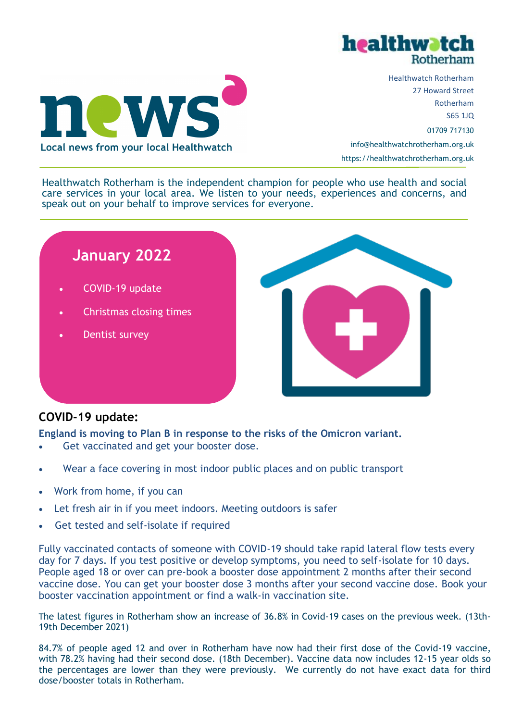



Healthwatch Rotherham 27 Howard Street Rotherham S65 1JQ 01709 717130 info@healthwatchrotherham.org.uk https://healthwatchrotherham.org.uk

Healthwatch Rotherham is the independent champion for people who use health and social care services in your local area. We listen to your needs, experiences and concerns, and speak out on your behalf to improve services for everyone.



## **COVID-19 update:**

**England is moving to Plan B in response to the risks of the Omicron variant.**

- Get vaccinated and get your booster dose.
- Wear a face covering in most indoor public places and on public transport
- Work from home, if you can
- Let fresh air in if you meet indoors. Meeting outdoors is safer
- Get tested and self-isolate if required

Fully vaccinated contacts of someone with COVID-19 should take rapid lateral flow tests every day for 7 days. If you test positive or develop symptoms, you need to self-isolate for 10 days. People aged 18 or over can pre-book a booster dose appointment 2 months after their second vaccine dose. You can get your booster dose 3 months after your second vaccine dose. Book your booster vaccination appointment or find a walk-in vaccination site.

The latest figures in Rotherham show an increase of 36.8% in Covid-19 cases on the previous week. (13th-19th December 2021)

84.7% of people aged 12 and over in Rotherham have now had their first dose of the Covid-19 vaccine, with 78.2% having had their second dose. (18th December). Vaccine data now includes 12-15 year olds so the percentages are lower than they were previously. We currently do not have exact data for third dose/booster totals in Rotherham.